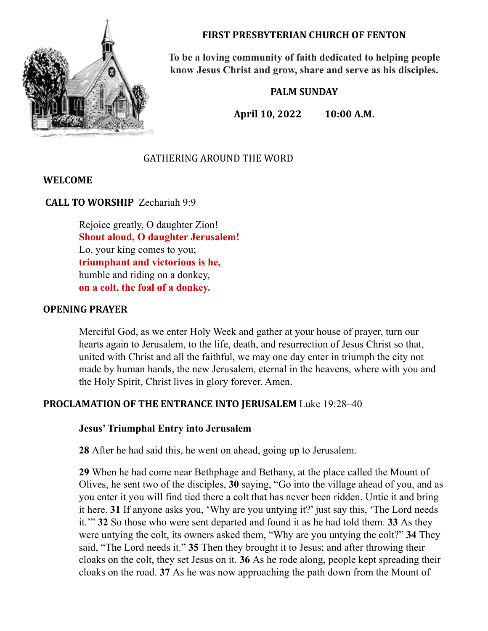

**FIRST PRESBYTERIAN CHURCH OF FENTON**

**To be a loving community of faith dedicated to helping people know Jesus Christ and grow, share and serve as his disciples.**

## **PALM SUNDAY**

**April 10, 2022 10:00 A.M.**

# GATHERING AROUND THE WORD

## **WELCOME**

**CALL TO WORSHIP** Zechariah 9:9

Rejoice greatly, O daughter Zion! **Shout aloud, O daughter Jerusalem!** Lo, your king comes to you; **triumphant and victorious is he,** humble and riding on a donkey, **on a colt, the foal of a donkey.**

#### **OPENING PRAYER**

Merciful God, as we enter Holy Week and gather at your house of prayer, turn our hearts again to Jerusalem, to the life, death, and resurrection of Jesus Christ so that, united with Christ and all the faithful, we may one day enter in triumph the city not made by human hands, the new Jerusalem, eternal in the heavens, where with you and the Holy Spirit, Christ lives in glory forever. Amen.

#### **PROCLAMATION OF THE ENTRANCE INTO JERUSALEM** Luke 19:28–40

#### **Jesus'Triumphal Entry into Jerusalem**

**28** After he had said this, he went on ahead, going up to Jerusalem.

**29** When he had come near Bethphage and Bethany, at the place called the Mount of Olives, he sent two of the disciples, **30** saying, "Go into the village ahead of you, and as you enter it you will find tied there a colt that has never been ridden. Untie it and bring it here. **31** If anyone asks you, 'Why are you untying it?' just say this, 'The Lord needs it.'" **32** So those who were sent departed and found it as he had told them. **33** As they were untying the colt, its owners asked them, "Why are you untying the colt?" **34** They said, "The Lord needs it." **35** Then they brought it to Jesus; and after throwing their cloaks on the colt, they set Jesus on it. **36** As he rode along, people kept spreading their cloaks on the road. **37** As he was now approaching the path down from the Mount of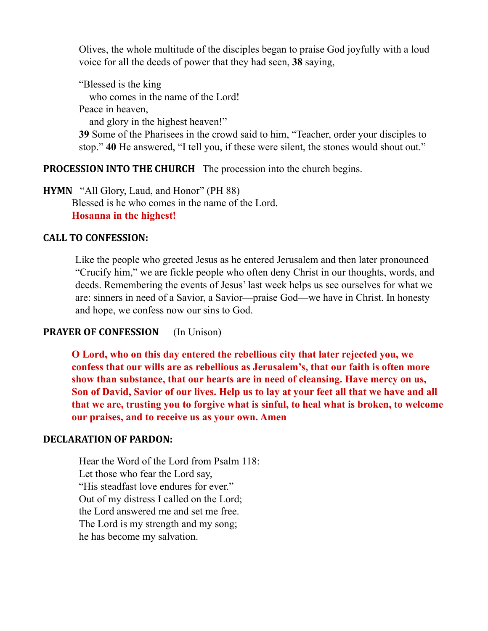Olives, the whole multitude of the disciples began to praise God joyfully with a loud voice for all the deeds of power that they had seen, **38** saying,

"Blessed is the king

who comes in the name of the Lord!

Peace in heaven,

and glory in the highest heaven!"

**39** Some of the Pharisees in the crowd said to him, "Teacher, order your disciples to stop." **40** He answered, "I tell you, if these were silent, the stones would shout out."

## **PROCESSION INTO THE CHURCH** The procession into the church begins.

**HYMN** "All Glory, Laud, and Honor" (PH 88) Blessed is he who comes in the name of the Lord. **Hosanna in the highest!**

## **CALL TO CONFESSION:**

Like the people who greeted Jesus as he entered Jerusalem and then later pronounced "Crucify him," we are fickle people who often deny Christ in our thoughts, words, and deeds. Remembering the events of Jesus' last week helps us see ourselves for what we are: sinners in need of a Savior, a Savior—praise God—we have in Christ. In honesty and hope, we confess now our sins to God.

# **PRAYER OF CONFESSION** (In Unison)

**O Lord, who on this day entered the rebellious city that later rejected you, we confess that our wills are as rebellious as Jerusalem's, that our faith is often more show than substance, that our hearts are in need of cleansing. Have mercy on us,** Son of David, Savior of our lives. Help us to lay at your feet all that we have and all **that we are, trusting you to forgive what is sinful, to heal what is broken, to welcome our praises, and to receive us as your own. Amen**

## **DECLARATION OF PARDON:**

Hear the Word of the Lord from Psalm 118: Let those who fear the Lord say, "His steadfast love endures for ever." Out of my distress I called on the Lord; the Lord answered me and set me free. The Lord is my strength and my song; he has become my salvation.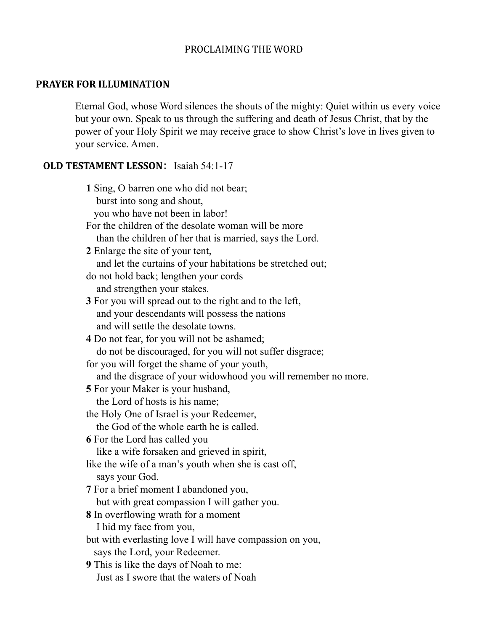### PROCLAIMING THE WORD

## **PRAYER FOR ILLUMINATION**

Eternal God, whose Word silences the shouts of the mighty: Quiet within us every voice but your own. Speak to us through the suffering and death of Jesus Christ, that by the power of your Holy Spirit we may receive grace to show Christ's love in lives given to your service. Amen.

# **OLD TESTAMENT LESSON**: Isaiah 54:1-17

| 1 Sing, O barren one who did not bear;                         |
|----------------------------------------------------------------|
| burst into song and shout,                                     |
| you who have not been in labor!                                |
| For the children of the desolate woman will be more            |
| than the children of her that is married, says the Lord.       |
| 2 Enlarge the site of your tent,                               |
| and let the curtains of your habitations be stretched out;     |
| do not hold back; lengthen your cords                          |
| and strengthen your stakes.                                    |
| <b>3</b> For you will spread out to the right and to the left, |
| and your descendants will possess the nations                  |
| and will settle the desolate towns.                            |
| 4 Do not fear, for you will not be ashamed;                    |
| do not be discouraged, for you will not suffer disgrace;       |
| for you will forget the shame of your youth,                   |
| and the disgrace of your widowhood you will remember no more.  |
| <b>5</b> For your Maker is your husband,                       |
| the Lord of hosts is his name;                                 |
| the Holy One of Israel is your Redeemer,                       |
| the God of the whole earth he is called.                       |
| 6 For the Lord has called you                                  |
| like a wife forsaken and grieved in spirit,                    |
| like the wife of a man's youth when she is cast off,           |
| says your God.                                                 |
| 7 For a brief moment I abandoned you,                          |
| but with great compassion I will gather you.                   |
| 8 In overflowing wrath for a moment                            |
| I hid my face from you,                                        |
| but with everlasting love I will have compassion on you,       |
| says the Lord, your Redeemer.                                  |
| <b>9</b> This is like the days of Noah to me:                  |
| Just as I swore that the waters of Noah                        |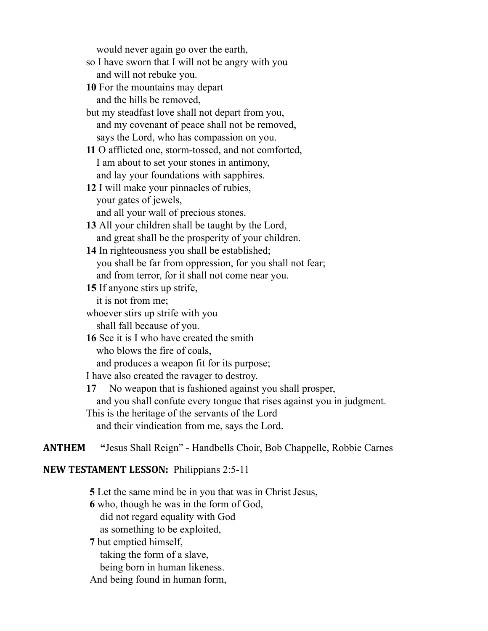would never again go over the earth,

so I have sworn that I will not be angry with you and will not rebuke you.

**10** For the mountains may depart and the hills be removed,

but my steadfast love shall not depart from you, and my covenant of peace shall not be removed, says the Lord, who has compassion on you.

**11** O afflicted one, storm-tossed, and not comforted, I am about to set your stones in antimony, and lay your foundations with sapphires.

**12** I will make your pinnacles of rubies, your gates of jewels,

and all your wall of precious stones.

- **13** All your children shall be taught by the Lord, and great shall be the prosperity of your children.
- **14** In righteousness you shall be established; you shall be far from oppression, for you shall not fear; and from terror, for it shall not come near you.

**15** If anyone stirs up strife,

it is not from me;

whoever stirs up strife with you

shall fall because of you.

**16** See it is I who have created the smith

who blows the fire of coals,

and produces a weapon fit for its purpose;

I have also created the ravager to destroy.

**17** No weapon that is fashioned against you shall prosper, and you shall confute every tongue that rises against you in judgment. This is the heritage of the servants of the Lord and their vindication from me, says the Lord.

**ANTHEM "**Jesus Shall Reign" - Handbells Choir, Bob Chappelle, Robbie Carnes

## **NEW TESTAMENT LESSON:** Philippians 2:5-11

**5** Let the same mind be in you that was in Christ Jesus,

**6** who, though he was in the form of God,

did not regard equality with God

as something to be exploited,

**7** but emptied himself,

taking the form of a slave,

being born in human likeness.

And being found in human form,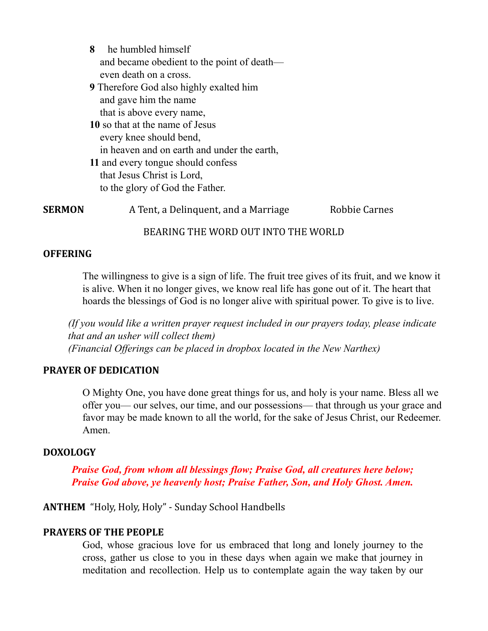**8** he humbled himself and became obedient to the point of death even death on a cross. **9** Therefore God also highly exalted him and gave him the name that is above every name, **10** so that at the name of Jesus every knee should bend, in heaven and on earth and under the earth, **11** and every tongue should confess that Jesus Christ is Lord, to the glory of God the Father.

**SERMON** A Tent, a Delinquent, and a Marriage Robbie Carnes

BEARING THE WORD OUT INTO THE WORLD

## **OFFERING**

The willingness to give is a sign of life. The fruit tree gives of its fruit, and we know it is alive. When it no longer gives, we know real life has gone out of it. The heart that hoards the blessings of God is no longer alive with spiritual power. To give is to live.

*(If you would like a written prayer request included in our prayers today, please indicate that and an usher will collect them) (Financial Of erings can be placed in dropbox located in the New Narthex)*

## **PRAYER OF DEDICATION**

O Mighty One, you have done great things for us, and holy is your name. Bless all we offer you— our selves, our time, and our possessions— that through us your grace and favor may be made known to all the world, for the sake of Jesus Christ, our Redeemer. Amen.

## **DOXOLOGY**

*Praise God, from whom all blessings flow; Praise God, all creatures here below; Praise God above, ye heavenly host; Praise Father, Son, and Holy Ghost. Amen.*

# **ANTHEM** "Holy, Holy, Holy" - Sunday School Handbells

## **PRAYERS OF THE PEOPLE**

God, whose gracious love for us embraced that long and lonely journey to the cross, gather us close to you in these days when again we make that journey in meditation and recollection. Help us to contemplate again the way taken by our